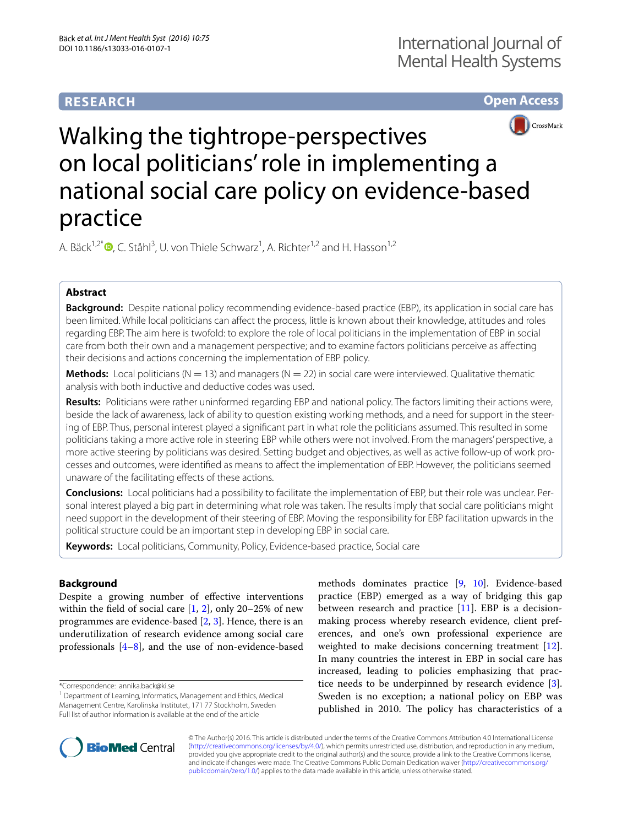## **RESEARCH**

**Open Access**



# Walking the tightrope-perspectives on local politicians' role in implementing a national social care policy on evidence-based practice

A. Bäck<sup>1[,](http://orcid.org/0000-0002-5115-0549)2\*</sup>®, C. Ståhl<sup>3</sup>, U. von Thiele Schwarz<sup>1</sup>, A. Richter<sup>1,2</sup> and H. Hasson<sup>1,2</sup>

## **Abstract**

**Background:** Despite national policy recommending evidence-based practice (EBP), its application in social care has been limited. While local politicians can affect the process, little is known about their knowledge, attitudes and roles regarding EBP. The aim here is twofold: to explore the role of local politicians in the implementation of EBP in social care from both their own and a management perspective; and to examine factors politicians perceive as affecting their decisions and actions concerning the implementation of EBP policy.

**Methods:** Local politicians ( $N = 13$ ) and managers ( $N = 22$ ) in social care were interviewed. Qualitative thematic analysis with both inductive and deductive codes was used.

**Results:** Politicians were rather uninformed regarding EBP and national policy. The factors limiting their actions were, beside the lack of awareness, lack of ability to question existing working methods, and a need for support in the steering of EBP. Thus, personal interest played a significant part in what role the politicians assumed. This resulted in some politicians taking a more active role in steering EBP while others were not involved. From the managers' perspective, a more active steering by politicians was desired. Setting budget and objectives, as well as active follow-up of work processes and outcomes, were identified as means to affect the implementation of EBP. However, the politicians seemed unaware of the facilitating effects of these actions.

**Conclusions:** Local politicians had a possibility to facilitate the implementation of EBP, but their role was unclear. Personal interest played a big part in determining what role was taken. The results imply that social care politicians might need support in the development of their steering of EBP. Moving the responsibility for EBP facilitation upwards in the political structure could be an important step in developing EBP in social care.

**Keywords:** Local politicians, Community, Policy, Evidence-based practice, Social care

## **Background**

Despite a growing number of effective interventions within the field of social care  $[1, 2]$  $[1, 2]$  $[1, 2]$  $[1, 2]$ , only 20–25% of new programmes are evidence-based [[2,](#page-8-1) [3](#page-8-2)]. Hence, there is an underutilization of research evidence among social care professionals  $[4-8]$  $[4-8]$ , and the use of non-evidence-based

\*Correspondence: annika.back@ki.se

methods dominates practice [\[9,](#page-8-5) [10\]](#page-8-6). Evidence-based practice (EBP) emerged as a way of bridging this gap between research and practice [\[11](#page-8-7)]. EBP is a decisionmaking process whereby research evidence, client preferences, and one's own professional experience are weighted to make decisions concerning treatment [\[12](#page-8-8)]. In many countries the interest in EBP in social care has increased, leading to policies emphasizing that practice needs to be underpinned by research evidence [\[3](#page-8-2)]. Sweden is no exception; a national policy on EBP was published in 2010. The policy has characteristics of a



© The Author(s) 2016. This article is distributed under the terms of the Creative Commons Attribution 4.0 International License [\(http://creativecommons.org/licenses/by/4.0/\)](http://creativecommons.org/licenses/by/4.0/), which permits unrestricted use, distribution, and reproduction in any medium, provided you give appropriate credit to the original author(s) and the source, provide a link to the Creative Commons license, and indicate if changes were made. The Creative Commons Public Domain Dedication waiver ([http://creativecommons.org/](http://creativecommons.org/publicdomain/zero/1.0/) [publicdomain/zero/1.0/](http://creativecommons.org/publicdomain/zero/1.0/)) applies to the data made available in this article, unless otherwise stated.

<sup>&</sup>lt;sup>1</sup> Department of Learning, Informatics, Management and Ethics, Medical Management Centre, Karolinska Institutet, 171 77 Stockholm, Sweden Full list of author information is available at the end of the article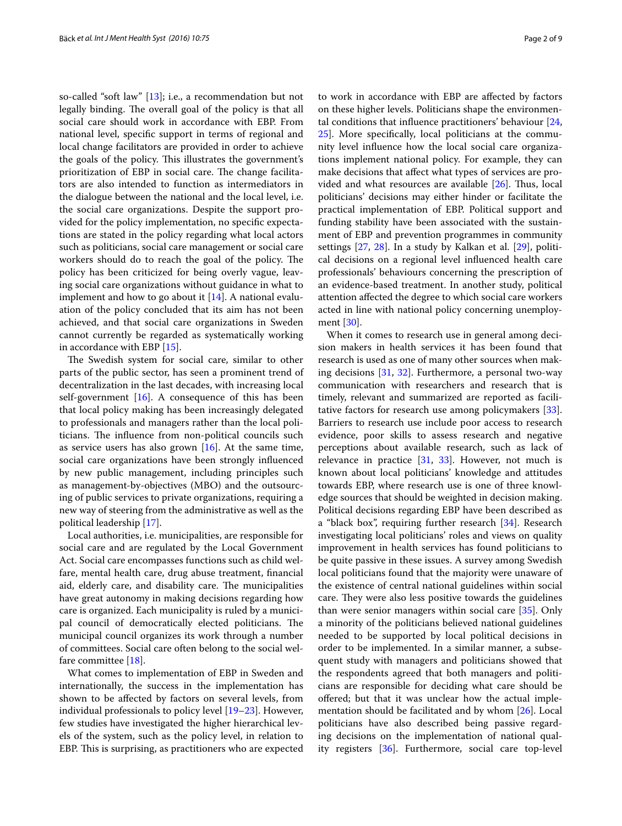so-called "soft law" [[13\]](#page-8-9); i.e., a recommendation but not legally binding. The overall goal of the policy is that all social care should work in accordance with EBP. From national level, specific support in terms of regional and local change facilitators are provided in order to achieve the goals of the policy. This illustrates the government's prioritization of EBP in social care. The change facilitators are also intended to function as intermediators in the dialogue between the national and the local level, i.e. the social care organizations. Despite the support provided for the policy implementation, no specific expectations are stated in the policy regarding what local actors such as politicians, social care management or social care workers should do to reach the goal of the policy. The policy has been criticized for being overly vague, leaving social care organizations without guidance in what to implement and how to go about it  $[14]$ . A national evaluation of the policy concluded that its aim has not been achieved, and that social care organizations in Sweden cannot currently be regarded as systematically working in accordance with EBP [[15](#page-8-11)].

The Swedish system for social care, similar to other parts of the public sector, has seen a prominent trend of decentralization in the last decades, with increasing local self-government [\[16](#page-8-12)]. A consequence of this has been that local policy making has been increasingly delegated to professionals and managers rather than the local politicians. The influence from non-political councils such as service users has also grown  $[16]$  $[16]$ . At the same time, social care organizations have been strongly influenced by new public management, including principles such as management-by-objectives (MBO) and the outsourcing of public services to private organizations, requiring a new way of steering from the administrative as well as the political leadership [[17\]](#page-8-13).

Local authorities, i.e. municipalities, are responsible for social care and are regulated by the Local Government Act. Social care encompasses functions such as child welfare, mental health care, drug abuse treatment, financial aid, elderly care, and disability care. The municipalities have great autonomy in making decisions regarding how care is organized. Each municipality is ruled by a municipal council of democratically elected politicians. The municipal council organizes its work through a number of committees. Social care often belong to the social welfare committee [\[18\]](#page-8-14).

What comes to implementation of EBP in Sweden and internationally, the success in the implementation has shown to be affected by factors on several levels, from individual professionals to policy level [[19](#page-8-15)[–23](#page-8-16)]. However, few studies have investigated the higher hierarchical levels of the system, such as the policy level, in relation to EBP. This is surprising, as practitioners who are expected to work in accordance with EBP are affected by factors on these higher levels. Politicians shape the environmental conditions that influence practitioners' behaviour [[24](#page-8-17), [25\]](#page-8-18). More specifically, local politicians at the community level influence how the local social care organizations implement national policy. For example, they can make decisions that affect what types of services are provided and what resources are available [\[26\]](#page-8-19). Thus, local politicians' decisions may either hinder or facilitate the practical implementation of EBP. Political support and funding stability have been associated with the sustainment of EBP and prevention programmes in community settings [[27,](#page-8-20) [28](#page-8-21)]. In a study by Kalkan et al. [[29\]](#page-8-22), political decisions on a regional level influenced health care professionals' behaviours concerning the prescription of an evidence-based treatment. In another study, political attention affected the degree to which social care workers acted in line with national policy concerning unemployment [[30](#page-8-23)].

When it comes to research use in general among decision makers in health services it has been found that research is used as one of many other sources when making decisions [\[31](#page-8-24), [32\]](#page-8-25). Furthermore, a personal two-way communication with researchers and research that is timely, relevant and summarized are reported as facilitative factors for research use among policymakers [\[33](#page-8-26)]. Barriers to research use include poor access to research evidence, poor skills to assess research and negative perceptions about available research, such as lack of relevance in practice [\[31,](#page-8-24) [33](#page-8-26)]. However, not much is known about local politicians' knowledge and attitudes towards EBP, where research use is one of three knowledge sources that should be weighted in decision making. Political decisions regarding EBP have been described as a "black box", requiring further research [\[34](#page-8-27)]. Research investigating local politicians' roles and views on quality improvement in health services has found politicians to be quite passive in these issues. A survey among Swedish local politicians found that the majority were unaware of the existence of central national guidelines within social care. They were also less positive towards the guidelines than were senior managers within social care [[35\]](#page-8-28). Only a minority of the politicians believed national guidelines needed to be supported by local political decisions in order to be implemented. In a similar manner, a subsequent study with managers and politicians showed that the respondents agreed that both managers and politicians are responsible for deciding what care should be offered; but that it was unclear how the actual implementation should be facilitated and by whom [\[26\]](#page-8-19). Local politicians have also described being passive regarding decisions on the implementation of national quality registers [\[36\]](#page-8-29). Furthermore, social care top-level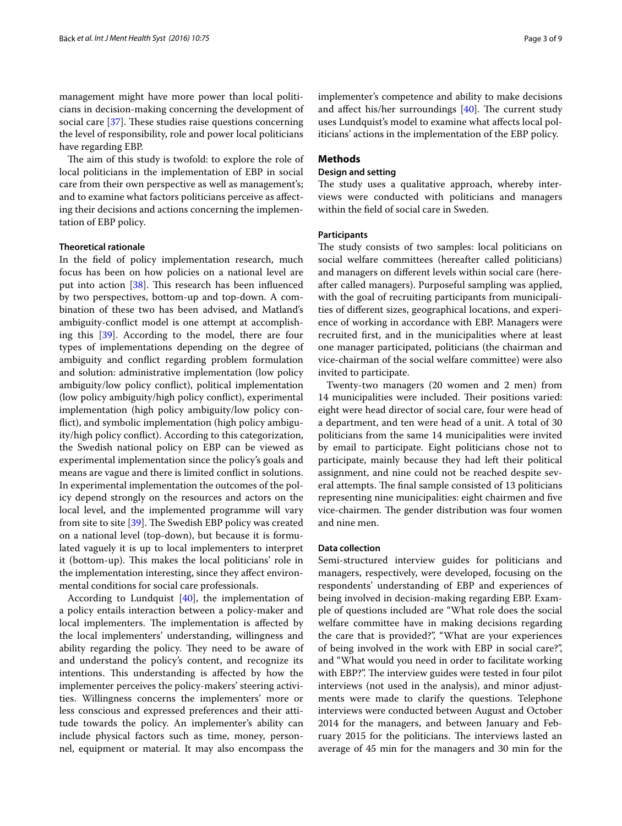management might have more power than local politicians in decision-making concerning the development of social care [[37](#page-8-30)]. These studies raise questions concerning the level of responsibility, role and power local politicians have regarding EBP.

The aim of this study is twofold: to explore the role of local politicians in the implementation of EBP in social care from their own perspective as well as management's; and to examine what factors politicians perceive as affecting their decisions and actions concerning the implementation of EBP policy.

#### **Theoretical rationale**

In the field of policy implementation research, much focus has been on how policies on a national level are put into action [\[38](#page-8-31)]. This research has been influenced by two perspectives, bottom-up and top-down. A combination of these two has been advised, and Matland's ambiguity-conflict model is one attempt at accomplishing this [[39\]](#page-8-32). According to the model, there are four types of implementations depending on the degree of ambiguity and conflict regarding problem formulation and solution: administrative implementation (low policy ambiguity/low policy conflict), political implementation (low policy ambiguity/high policy conflict), experimental implementation (high policy ambiguity/low policy conflict), and symbolic implementation (high policy ambiguity/high policy conflict). According to this categorization, the Swedish national policy on EBP can be viewed as experimental implementation since the policy's goals and means are vague and there is limited conflict in solutions. In experimental implementation the outcomes of the policy depend strongly on the resources and actors on the local level, and the implemented programme will vary from site to site [\[39](#page-8-32)]. The Swedish EBP policy was created on a national level (top-down), but because it is formulated vaguely it is up to local implementers to interpret it (bottom-up). This makes the local politicians' role in the implementation interesting, since they affect environmental conditions for social care professionals.

According to Lundquist [[40\]](#page-8-33), the implementation of a policy entails interaction between a policy-maker and local implementers. The implementation is affected by the local implementers' understanding, willingness and ability regarding the policy. They need to be aware of and understand the policy's content, and recognize its intentions. This understanding is affected by how the implementer perceives the policy-makers' steering activities. Willingness concerns the implementers' more or less conscious and expressed preferences and their attitude towards the policy. An implementer's ability can include physical factors such as time, money, personnel, equipment or material. It may also encompass the implementer's competence and ability to make decisions and affect his/her surroundings [\[40](#page-8-33)]. The current study uses Lundquist's model to examine what affects local politicians' actions in the implementation of the EBP policy.

## **Methods**

## **Design and setting**

The study uses a qualitative approach, whereby interviews were conducted with politicians and managers within the field of social care in Sweden.

#### **Participants**

The study consists of two samples: local politicians on social welfare committees (hereafter called politicians) and managers on different levels within social care (hereafter called managers). Purposeful sampling was applied, with the goal of recruiting participants from municipalities of different sizes, geographical locations, and experience of working in accordance with EBP. Managers were recruited first, and in the municipalities where at least one manager participated, politicians (the chairman and vice-chairman of the social welfare committee) were also invited to participate.

Twenty-two managers (20 women and 2 men) from 14 municipalities were included. Their positions varied: eight were head director of social care, four were head of a department, and ten were head of a unit. A total of 30 politicians from the same 14 municipalities were invited by email to participate. Eight politicians chose not to participate, mainly because they had left their political assignment, and nine could not be reached despite several attempts. The final sample consisted of 13 politicians representing nine municipalities: eight chairmen and five vice-chairmen. The gender distribution was four women and nine men.

#### **Data collection**

Semi-structured interview guides for politicians and managers, respectively, were developed, focusing on the respondents' understanding of EBP and experiences of being involved in decision-making regarding EBP. Example of questions included are "What role does the social welfare committee have in making decisions regarding the care that is provided?", "What are your experiences of being involved in the work with EBP in social care?", and "What would you need in order to facilitate working with EBP?". The interview guides were tested in four pilot interviews (not used in the analysis), and minor adjustments were made to clarify the questions. Telephone interviews were conducted between August and October 2014 for the managers, and between January and February 2015 for the politicians. The interviews lasted an average of 45 min for the managers and 30 min for the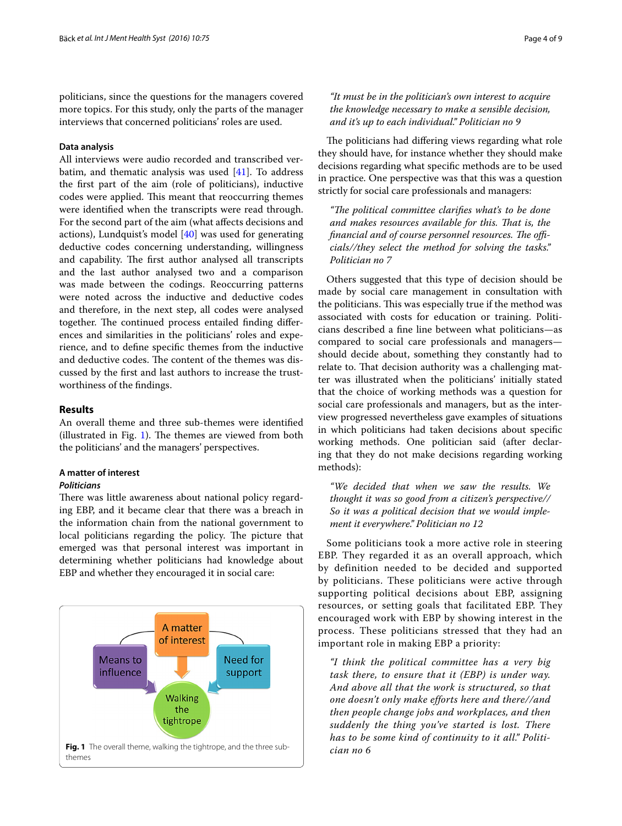politicians, since the questions for the managers covered more topics. For this study, only the parts of the manager interviews that concerned politicians' roles are used.

## **Data analysis**

All interviews were audio recorded and transcribed verbatim, and thematic analysis was used [\[41\]](#page-8-34). To address the first part of the aim (role of politicians), inductive codes were applied. This meant that reoccurring themes were identified when the transcripts were read through. For the second part of the aim (what affects decisions and actions), Lundquist's model [\[40](#page-8-33)] was used for generating deductive codes concerning understanding, willingness and capability. The first author analysed all transcripts and the last author analysed two and a comparison was made between the codings. Reoccurring patterns were noted across the inductive and deductive codes and therefore, in the next step, all codes were analysed together. The continued process entailed finding differences and similarities in the politicians' roles and experience, and to define specific themes from the inductive and deductive codes. The content of the themes was discussed by the first and last authors to increase the trustworthiness of the findings.

## **Results**

An overall theme and three sub-themes were identified (illustrated in Fig. [1](#page-3-0)). The themes are viewed from both the politicians' and the managers' perspectives.

## **A matter of interest**

## *Politicians*

There was little awareness about national policy regarding EBP, and it became clear that there was a breach in the information chain from the national government to local politicians regarding the policy. The picture that emerged was that personal interest was important in determining whether politicians had knowledge about EBP and whether they encouraged it in social care:

<span id="page-3-0"></span>

## *"It must be in the politician's own interest to acquire the knowledge necessary to make a sensible decision, and it's up to each individual." Politician no 9*

The politicians had differing views regarding what role they should have, for instance whether they should make decisions regarding what specific methods are to be used in practice. One perspective was that this was a question strictly for social care professionals and managers:

*"The political committee clarifies what's to be done and makes resources available for this. That is, the financial and of course personnel resources. The officials//they select the method for solving the tasks." Politician no 7*

Others suggested that this type of decision should be made by social care management in consultation with the politicians. This was especially true if the method was associated with costs for education or training. Politicians described a fine line between what politicians—as compared to social care professionals and managers should decide about, something they constantly had to relate to. That decision authority was a challenging matter was illustrated when the politicians' initially stated that the choice of working methods was a question for social care professionals and managers, but as the interview progressed nevertheless gave examples of situations in which politicians had taken decisions about specific working methods. One politician said (after declaring that they do not make decisions regarding working methods):

*"We decided that when we saw the results. We thought it was so good from a citizen's perspective// So it was a political decision that we would implement it everywhere." Politician no 12*

Some politicians took a more active role in steering EBP. They regarded it as an overall approach, which by definition needed to be decided and supported by politicians. These politicians were active through supporting political decisions about EBP, assigning resources, or setting goals that facilitated EBP. They encouraged work with EBP by showing interest in the process. These politicians stressed that they had an important role in making EBP a priority:

*"I think the political committee has a very big task there, to ensure that it (EBP) is under way. And above all that the work is structured, so that one doesn't only make efforts here and there//and then people change jobs and workplaces, and then suddenly the thing you've started is lost. There has to be some kind of continuity to it all." Politi-*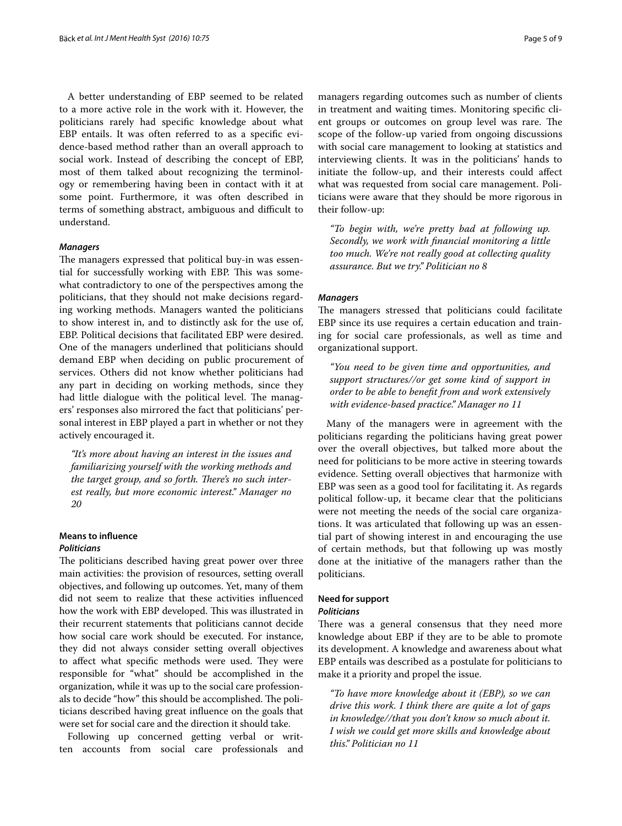A better understanding of EBP seemed to be related to a more active role in the work with it. However, the politicians rarely had specific knowledge about what EBP entails. It was often referred to as a specific evidence-based method rather than an overall approach to social work. Instead of describing the concept of EBP, most of them talked about recognizing the terminology or remembering having been in contact with it at some point. Furthermore, it was often described in terms of something abstract, ambiguous and difficult to understand.

#### *Managers*

The managers expressed that political buy-in was essential for successfully working with EBP. This was somewhat contradictory to one of the perspectives among the politicians, that they should not make decisions regarding working methods. Managers wanted the politicians to show interest in, and to distinctly ask for the use of, EBP. Political decisions that facilitated EBP were desired. One of the managers underlined that politicians should demand EBP when deciding on public procurement of services. Others did not know whether politicians had any part in deciding on working methods, since they had little dialogue with the political level. The managers' responses also mirrored the fact that politicians' personal interest in EBP played a part in whether or not they actively encouraged it.

*"It's more about having an interest in the issues and familiarizing yourself with the working methods and the target group, and so forth. There's no such interest really, but more economic interest." Manager no 20*

#### **Means to influence**

## *Politicians*

The politicians described having great power over three main activities: the provision of resources, setting overall objectives, and following up outcomes. Yet, many of them did not seem to realize that these activities influenced how the work with EBP developed. This was illustrated in their recurrent statements that politicians cannot decide how social care work should be executed. For instance, they did not always consider setting overall objectives to affect what specific methods were used. They were responsible for "what" should be accomplished in the organization, while it was up to the social care professionals to decide "how" this should be accomplished. The politicians described having great influence on the goals that were set for social care and the direction it should take.

Following up concerned getting verbal or written accounts from social care professionals and managers regarding outcomes such as number of clients in treatment and waiting times. Monitoring specific client groups or outcomes on group level was rare. The scope of the follow-up varied from ongoing discussions with social care management to looking at statistics and interviewing clients. It was in the politicians' hands to initiate the follow-up, and their interests could affect what was requested from social care management. Politicians were aware that they should be more rigorous in their follow-up:

*"To begin with, we're pretty bad at following up. Secondly, we work with financial monitoring a little too much. We're not really good at collecting quality assurance. But we try." Politician no 8*

#### *Managers*

The managers stressed that politicians could facilitate EBP since its use requires a certain education and training for social care professionals, as well as time and organizational support.

*"You need to be given time and opportunities, and support structures//or get some kind of support in order to be able to benefit from and work extensively with evidence-based practice." Manager no 11*

Many of the managers were in agreement with the politicians regarding the politicians having great power over the overall objectives, but talked more about the need for politicians to be more active in steering towards evidence. Setting overall objectives that harmonize with EBP was seen as a good tool for facilitating it. As regards political follow-up, it became clear that the politicians were not meeting the needs of the social care organizations. It was articulated that following up was an essential part of showing interest in and encouraging the use of certain methods, but that following up was mostly done at the initiative of the managers rather than the politicians.

## **Need for support**

#### *Politicians*

There was a general consensus that they need more knowledge about EBP if they are to be able to promote its development. A knowledge and awareness about what EBP entails was described as a postulate for politicians to make it a priority and propel the issue.

*"To have more knowledge about it (EBP), so we can drive this work. I think there are quite a lot of gaps in knowledge//that you don't know so much about it. I wish we could get more skills and knowledge about this." Politician no 11*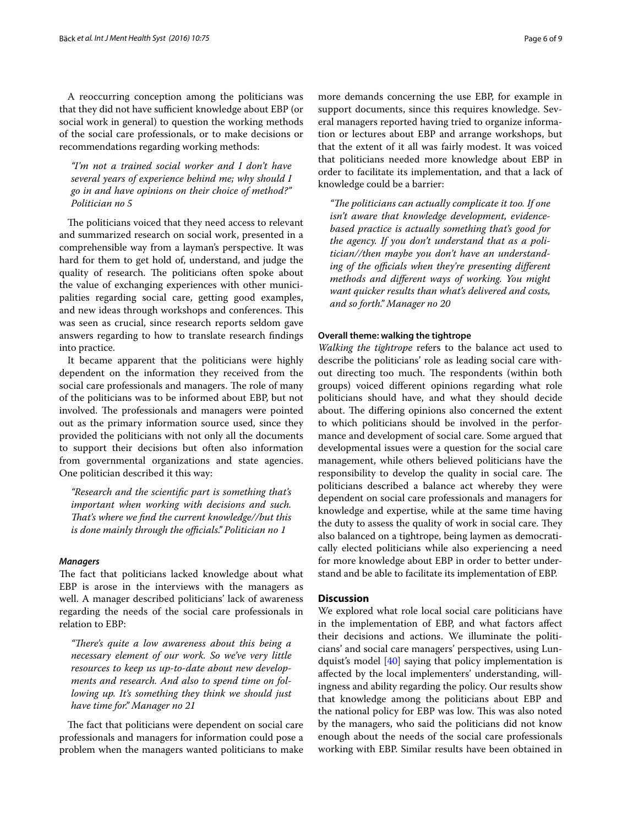A reoccurring conception among the politicians was that they did not have sufficient knowledge about EBP (or social work in general) to question the working methods of the social care professionals, or to make decisions or recommendations regarding working methods:

*"I'm not a trained social worker and I don't have several years of experience behind me; why should I go in and have opinions on their choice of method?" Politician no 5*

The politicians voiced that they need access to relevant and summarized research on social work, presented in a comprehensible way from a layman's perspective. It was hard for them to get hold of, understand, and judge the quality of research. The politicians often spoke about the value of exchanging experiences with other municipalities regarding social care, getting good examples, and new ideas through workshops and conferences. This was seen as crucial, since research reports seldom gave answers regarding to how to translate research findings into practice.

It became apparent that the politicians were highly dependent on the information they received from the social care professionals and managers. The role of many of the politicians was to be informed about EBP, but not involved. The professionals and managers were pointed out as the primary information source used, since they provided the politicians with not only all the documents to support their decisions but often also information from governmental organizations and state agencies. One politician described it this way:

*"Research and the scientific part is something that's important when working with decisions and such. That's where we find the current knowledge//but this is done mainly through the officials." Politician no 1*

#### *Managers*

The fact that politicians lacked knowledge about what EBP is arose in the interviews with the managers as well. A manager described politicians' lack of awareness regarding the needs of the social care professionals in relation to EBP:

*"There's quite a low awareness about this being a necessary element of our work. So we've very little resources to keep us up-to-date about new developments and research. And also to spend time on following up. It's something they think we should just have time for." Manager no 21*

The fact that politicians were dependent on social care professionals and managers for information could pose a problem when the managers wanted politicians to make more demands concerning the use EBP, for example in support documents, since this requires knowledge. Several managers reported having tried to organize information or lectures about EBP and arrange workshops, but that the extent of it all was fairly modest. It was voiced that politicians needed more knowledge about EBP in order to facilitate its implementation, and that a lack of knowledge could be a barrier:

*"The politicians can actually complicate it too. If one isn't aware that knowledge development, evidencebased practice is actually something that's good for the agency. If you don't understand that as a politician//then maybe you don't have an understanding of the officials when they're presenting different methods and different ways of working. You might want quicker results than what's delivered and costs, and so forth." Manager no 20*

### **Overall theme: walking the tightrope**

*Walking the tightrope* refers to the balance act used to describe the politicians' role as leading social care without directing too much. The respondents (within both groups) voiced different opinions regarding what role politicians should have, and what they should decide about. The differing opinions also concerned the extent to which politicians should be involved in the performance and development of social care. Some argued that developmental issues were a question for the social care management, while others believed politicians have the responsibility to develop the quality in social care. The politicians described a balance act whereby they were dependent on social care professionals and managers for knowledge and expertise, while at the same time having the duty to assess the quality of work in social care. They also balanced on a tightrope, being laymen as democratically elected politicians while also experiencing a need for more knowledge about EBP in order to better understand and be able to facilitate its implementation of EBP.

## **Discussion**

We explored what role local social care politicians have in the implementation of EBP, and what factors affect their decisions and actions. We illuminate the politicians' and social care managers' perspectives, using Lundquist's model [[40\]](#page-8-33) saying that policy implementation is affected by the local implementers' understanding, willingness and ability regarding the policy. Our results show that knowledge among the politicians about EBP and the national policy for EBP was low. This was also noted by the managers, who said the politicians did not know enough about the needs of the social care professionals working with EBP. Similar results have been obtained in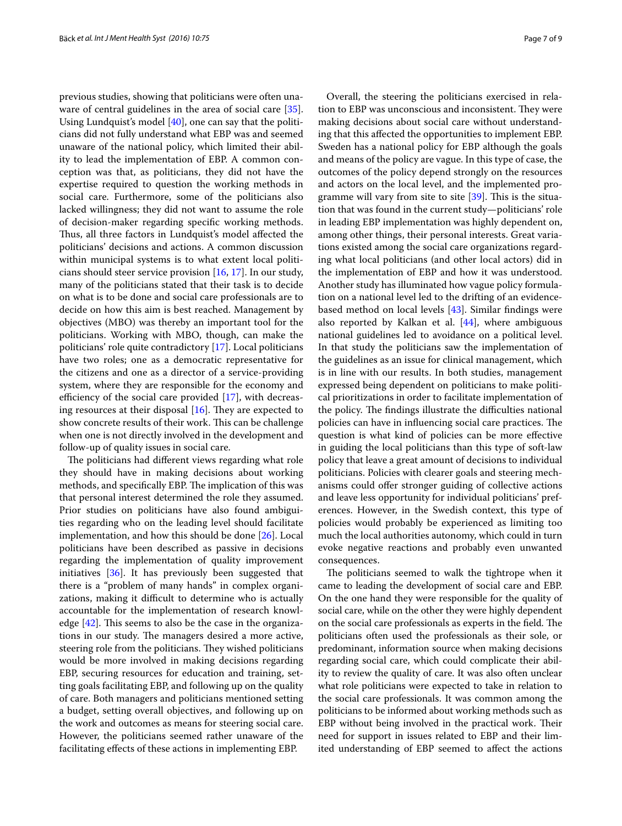previous studies, showing that politicians were often unaware of central guidelines in the area of social care [\[35](#page-8-28)]. Using Lundquist's model [[40\]](#page-8-33), one can say that the politicians did not fully understand what EBP was and seemed unaware of the national policy, which limited their ability to lead the implementation of EBP. A common conception was that, as politicians, they did not have the expertise required to question the working methods in social care. Furthermore, some of the politicians also lacked willingness; they did not want to assume the role of decision-maker regarding specific working methods. Thus, all three factors in Lundquist's model affected the politicians' decisions and actions. A common discussion within municipal systems is to what extent local politicians should steer service provision [[16,](#page-8-12) [17](#page-8-13)]. In our study, many of the politicians stated that their task is to decide on what is to be done and social care professionals are to decide on how this aim is best reached. Management by objectives (MBO) was thereby an important tool for the politicians. Working with MBO, though, can make the politicians' role quite contradictory [[17\]](#page-8-13). Local politicians have two roles; one as a democratic representative for the citizens and one as a director of a service-providing system, where they are responsible for the economy and efficiency of the social care provided [[17\]](#page-8-13), with decreasing resources at their disposal [\[16](#page-8-12)]. They are expected to show concrete results of their work. This can be challenge when one is not directly involved in the development and follow-up of quality issues in social care.

The politicians had different views regarding what role they should have in making decisions about working methods, and specifically EBP. The implication of this was that personal interest determined the role they assumed. Prior studies on politicians have also found ambiguities regarding who on the leading level should facilitate implementation, and how this should be done [\[26](#page-8-19)]. Local politicians have been described as passive in decisions regarding the implementation of quality improvement initiatives [[36\]](#page-8-29). It has previously been suggested that there is a "problem of many hands" in complex organizations, making it difficult to determine who is actually accountable for the implementation of research knowledge [[42](#page-8-35)]. This seems to also be the case in the organizations in our study. The managers desired a more active, steering role from the politicians. They wished politicians would be more involved in making decisions regarding EBP, securing resources for education and training, setting goals facilitating EBP, and following up on the quality of care. Both managers and politicians mentioned setting a budget, setting overall objectives, and following up on the work and outcomes as means for steering social care. However, the politicians seemed rather unaware of the facilitating effects of these actions in implementing EBP.

Overall, the steering the politicians exercised in relation to EBP was unconscious and inconsistent. They were making decisions about social care without understanding that this affected the opportunities to implement EBP. Sweden has a national policy for EBP although the goals and means of the policy are vague. In this type of case, the outcomes of the policy depend strongly on the resources and actors on the local level, and the implemented programme will vary from site to site  $[39]$  $[39]$  $[39]$ . This is the situation that was found in the current study—politicians' role in leading EBP implementation was highly dependent on, among other things, their personal interests. Great variations existed among the social care organizations regarding what local politicians (and other local actors) did in the implementation of EBP and how it was understood. Another study has illuminated how vague policy formulation on a national level led to the drifting of an evidencebased method on local levels [[43\]](#page-8-36). Similar findings were also reported by Kalkan et al.  $[44]$  $[44]$ , where ambiguous national guidelines led to avoidance on a political level. In that study the politicians saw the implementation of the guidelines as an issue for clinical management, which is in line with our results. In both studies, management expressed being dependent on politicians to make political prioritizations in order to facilitate implementation of the policy. The findings illustrate the difficulties national policies can have in influencing social care practices. The question is what kind of policies can be more effective in guiding the local politicians than this type of soft-law policy that leave a great amount of decisions to individual politicians. Policies with clearer goals and steering mechanisms could offer stronger guiding of collective actions and leave less opportunity for individual politicians' preferences. However, in the Swedish context, this type of policies would probably be experienced as limiting too much the local authorities autonomy, which could in turn evoke negative reactions and probably even unwanted consequences.

The politicians seemed to walk the tightrope when it came to leading the development of social care and EBP. On the one hand they were responsible for the quality of social care, while on the other they were highly dependent on the social care professionals as experts in the field. The politicians often used the professionals as their sole, or predominant, information source when making decisions regarding social care, which could complicate their ability to review the quality of care. It was also often unclear what role politicians were expected to take in relation to the social care professionals. It was common among the politicians to be informed about working methods such as EBP without being involved in the practical work. Their need for support in issues related to EBP and their limited understanding of EBP seemed to affect the actions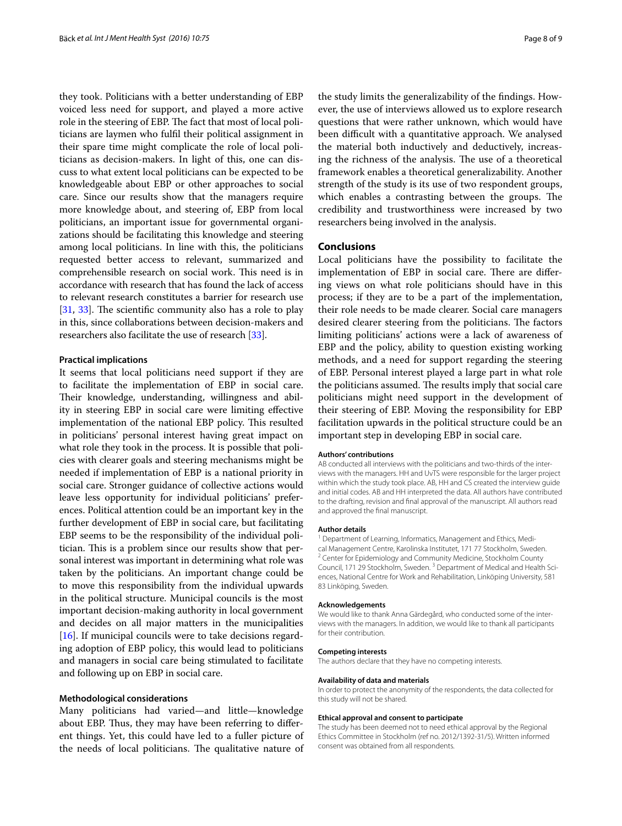they took. Politicians with a better understanding of EBP voiced less need for support, and played a more active role in the steering of EBP. The fact that most of local politicians are laymen who fulfil their political assignment in their spare time might complicate the role of local politicians as decision-makers. In light of this, one can discuss to what extent local politicians can be expected to be knowledgeable about EBP or other approaches to social care. Since our results show that the managers require more knowledge about, and steering of, EBP from local politicians, an important issue for governmental organizations should be facilitating this knowledge and steering among local politicians. In line with this, the politicians requested better access to relevant, summarized and comprehensible research on social work. This need is in accordance with research that has found the lack of access to relevant research constitutes a barrier for research use [[31,](#page-8-24) [33\]](#page-8-26). The scientific community also has a role to play in this, since collaborations between decision-makers and researchers also facilitate the use of research [[33](#page-8-26)].

#### **Practical implications**

It seems that local politicians need support if they are to facilitate the implementation of EBP in social care. Their knowledge, understanding, willingness and ability in steering EBP in social care were limiting effective implementation of the national EBP policy. This resulted in politicians' personal interest having great impact on what role they took in the process. It is possible that policies with clearer goals and steering mechanisms might be needed if implementation of EBP is a national priority in social care. Stronger guidance of collective actions would leave less opportunity for individual politicians' preferences. Political attention could be an important key in the further development of EBP in social care, but facilitating EBP seems to be the responsibility of the individual politician. This is a problem since our results show that personal interest was important in determining what role was taken by the politicians. An important change could be to move this responsibility from the individual upwards in the political structure. Municipal councils is the most important decision-making authority in local government and decides on all major matters in the municipalities [[16\]](#page-8-12). If municipal councils were to take decisions regarding adoption of EBP policy, this would lead to politicians and managers in social care being stimulated to facilitate and following up on EBP in social care.

#### **Methodological considerations**

Many politicians had varied—and little—knowledge about EBP. Thus, they may have been referring to different things. Yet, this could have led to a fuller picture of the needs of local politicians. The qualitative nature of

the study limits the generalizability of the findings. However, the use of interviews allowed us to explore research questions that were rather unknown, which would have been difficult with a quantitative approach. We analysed the material both inductively and deductively, increasing the richness of the analysis. The use of a theoretical framework enables a theoretical generalizability. Another strength of the study is its use of two respondent groups, which enables a contrasting between the groups. The credibility and trustworthiness were increased by two researchers being involved in the analysis.

#### **Conclusions**

Local politicians have the possibility to facilitate the implementation of EBP in social care. There are differing views on what role politicians should have in this process; if they are to be a part of the implementation, their role needs to be made clearer. Social care managers desired clearer steering from the politicians. The factors limiting politicians' actions were a lack of awareness of EBP and the policy, ability to question existing working methods, and a need for support regarding the steering of EBP. Personal interest played a large part in what role the politicians assumed. The results imply that social care politicians might need support in the development of their steering of EBP. Moving the responsibility for EBP facilitation upwards in the political structure could be an important step in developing EBP in social care.

#### **Authors' contributions**

AB conducted all interviews with the politicians and two-thirds of the interviews with the managers. HH and UvTS were responsible for the larger project within which the study took place. AB, HH and CS created the interview guide and initial codes. AB and HH interpreted the data. All authors have contributed to the drafting, revision and final approval of the manuscript. All authors read and approved the final manuscript.

#### **Author details**

<sup>1</sup> Department of Learning, Informatics, Management and Ethics, Medi-<br>cal Management Centre, Karolinska Institutet, 171 77 Stockholm, Sweden.  $2$  Center for Epidemiology and Community Medicine, Stockholm County Council, 171 29 Stockholm, Sweden. <sup>3</sup> Department of Medical and Health Sciences, National Centre for Work and Rehabilitation, Linköping University, 581 83 Linköping, Sweden.

#### **Acknowledgements**

We would like to thank Anna Gärdegård, who conducted some of the interviews with the managers. In addition, we would like to thank all participants for their contribution.

#### **Competing interests**

The authors declare that they have no competing interests.

#### **Availability of data and materials**

In order to protect the anonymity of the respondents, the data collected for this study will not be shared.

#### **Ethical approval and consent to participate**

The study has been deemed not to need ethical approval by the Regional Ethics Committee in Stockholm (ref no. 2012/1392-31/5). Written informed consent was obtained from all respondents.